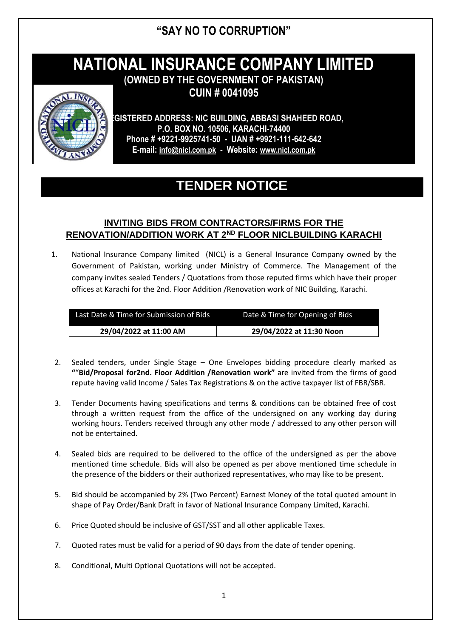### **"SAY NO TO CORRUPTION"**

# **NATIONAL INSURANCE COMPANY LIMITED**

**(OWNED BY THE GOVERNMENT OF PAKISTAN) CUIN # 0041095**



**REGISTERED ADDRESS: NIC BUILDING, ABBASI SHAHEED ROAD, P.O. BOX NO. 10506, KARACHI-74400 Phone # +9221-9925741-50 - UAN # +9921-111-642-642 E-mail: [info@nicl.com.pk](mailto:info@nicl.com.pk) - Website: [www.nicl.com.pk](http://www.nicl.com.pk/)**

## **TENDER NOTICE**

### **INVITING BIDS FROM CONTRACTORS/FIRMS FOR THE RENOVATION/ADDITION WORK AT 2ND FLOOR NICLBUILDING KARACHI**

1. National Insurance Company limited (NICL) is a General Insurance Company owned by the Government of Pakistan, working under Ministry of Commerce. The Management of the company invites sealed Tenders / Quotations from those reputed firms which have their proper offices at Karachi for the 2nd. Floor Addition /Renovation work of NIC Building, Karachi.

| Last Date & Time for Submission of Bids | Date & Time for Opening of Bids |
|-----------------------------------------|---------------------------------|
| 29/04/2022 at 11:00 AM                  | 29/04/2022 at 11:30 Noon        |

- 2. Sealed tenders, under Single Stage One Envelopes bidding procedure clearly marked as **"**"**Bid/Proposal for2nd. Floor Addition /Renovation work"** are invited from the firms of good repute having valid Income / Sales Tax Registrations & on the active taxpayer list of FBR/SBR.
- 3. Tender Documents having specifications and terms & conditions can be obtained free of cost through a written request from the office of the undersigned on any working day during working hours. Tenders received through any other mode / addressed to any other person will not be entertained.
- 4. Sealed bids are required to be delivered to the office of the undersigned as per the above mentioned time schedule. Bids will also be opened as per above mentioned time schedule in the presence of the bidders or their authorized representatives, who may like to be present.
- 5. Bid should be accompanied by 2% (Two Percent) Earnest Money of the total quoted amount in shape of Pay Order/Bank Draft in favor of National Insurance Company Limited, Karachi.
- 6. Price Quoted should be inclusive of GST/SST and all other applicable Taxes.
- 7. Quoted rates must be valid for a period of 90 days from the date of tender opening.
- 8. Conditional, Multi Optional Quotations will not be accepted.